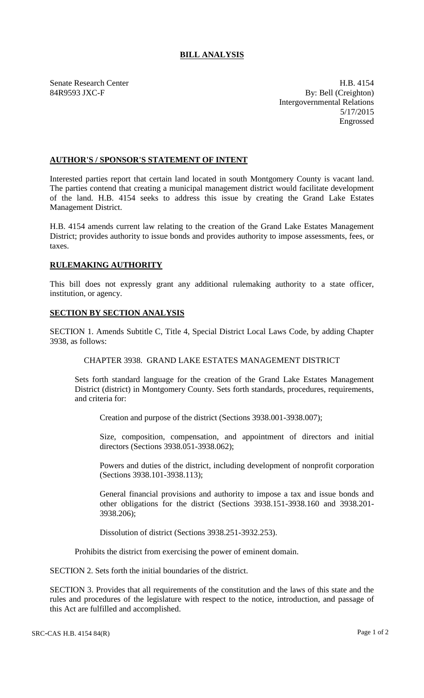# **BILL ANALYSIS**

Senate Research Center **H.B. 4154** 84R9593 JXC-F By: Bell (Creighton) Intergovernmental Relations 5/17/2015 Engrossed

## **AUTHOR'S / SPONSOR'S STATEMENT OF INTENT**

Interested parties report that certain land located in south Montgomery County is vacant land. The parties contend that creating a municipal management district would facilitate development of the land. H.B. 4154 seeks to address this issue by creating the Grand Lake Estates Management District.

H.B. 4154 amends current law relating to the creation of the Grand Lake Estates Management District; provides authority to issue bonds and provides authority to impose assessments, fees, or taxes.

## **RULEMAKING AUTHORITY**

This bill does not expressly grant any additional rulemaking authority to a state officer, institution, or agency.

## **SECTION BY SECTION ANALYSIS**

SECTION 1. Amends Subtitle C, Title 4, Special District Local Laws Code, by adding Chapter 3938, as follows:

## CHAPTER 3938. GRAND LAKE ESTATES MANAGEMENT DISTRICT

Sets forth standard language for the creation of the Grand Lake Estates Management District (district) in Montgomery County. Sets forth standards, procedures, requirements, and criteria for:

Creation and purpose of the district (Sections 3938.001-3938.007);

Size, composition, compensation, and appointment of directors and initial directors (Sections 3938.051-3938.062);

Powers and duties of the district, including development of nonprofit corporation (Sections 3938.101-3938.113);

General financial provisions and authority to impose a tax and issue bonds and other obligations for the district (Sections 3938.151-3938.160 and 3938.201- 3938.206);

Dissolution of district (Sections 3938.251-3932.253).

Prohibits the district from exercising the power of eminent domain.

SECTION 2. Sets forth the initial boundaries of the district.

SECTION 3. Provides that all requirements of the constitution and the laws of this state and the rules and procedures of the legislature with respect to the notice, introduction, and passage of this Act are fulfilled and accomplished.